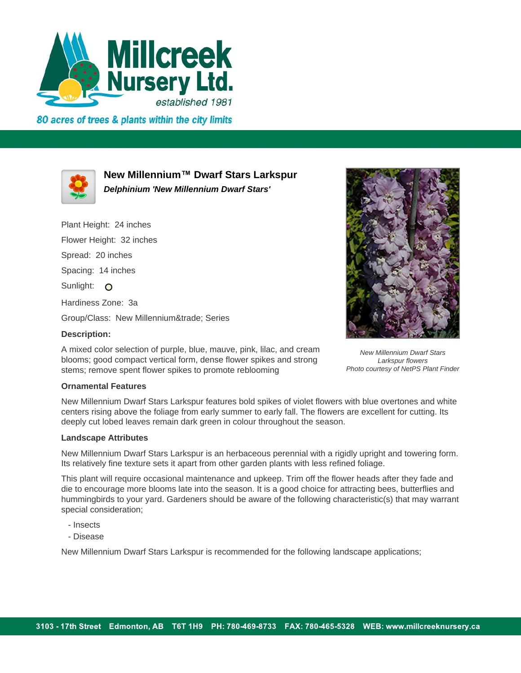

80 acres of trees & plants within the city limits



**New Millennium™ Dwarf Stars Larkspur Delphinium 'New Millennium Dwarf Stars'**

A mixed color selection of purple, blue, mauve, pink, lilac, and cream blooms; good compact vertical form, dense flower spikes and strong

stems; remove spent flower spikes to promote reblooming

Plant Height: 24 inches Flower Height: 32 inches Spread: 20 inches Spacing: 14 inches Sunlight: O Hardiness Zone: 3a Group/Class: New Millennium™ Series **Description:**



New Millennium Dwarf Stars Larkspur flowers Photo courtesy of NetPS Plant Finder

## **Ornamental Features**

New Millennium Dwarf Stars Larkspur features bold spikes of violet flowers with blue overtones and white centers rising above the foliage from early summer to early fall. The flowers are excellent for cutting. Its deeply cut lobed leaves remain dark green in colour throughout the season.

## **Landscape Attributes**

New Millennium Dwarf Stars Larkspur is an herbaceous perennial with a rigidly upright and towering form. Its relatively fine texture sets it apart from other garden plants with less refined foliage.

This plant will require occasional maintenance and upkeep. Trim off the flower heads after they fade and die to encourage more blooms late into the season. It is a good choice for attracting bees, butterflies and hummingbirds to your yard. Gardeners should be aware of the following characteristic(s) that may warrant special consideration;

- Insects
- Disease

New Millennium Dwarf Stars Larkspur is recommended for the following landscape applications;